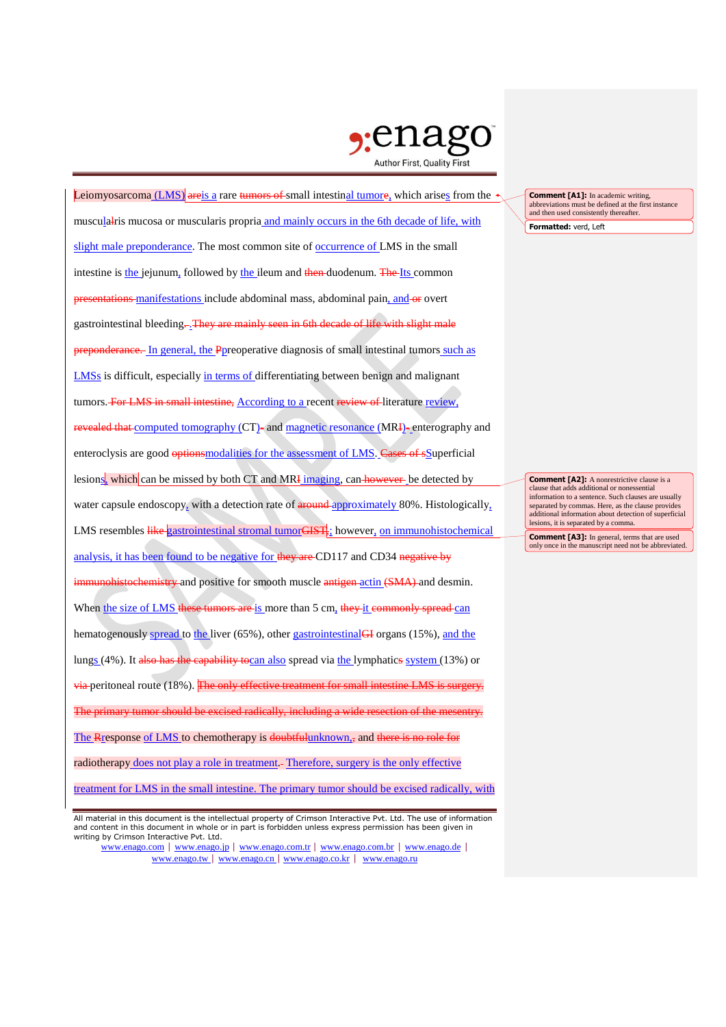

| Leiomyosarcoma $(LMS)$ areis a rare tumors of small intestinal tumore, which arises from the         |
|------------------------------------------------------------------------------------------------------|
| musculalris mucosa or muscularis propria and mainly occurs in the 6th decade of life, with           |
| slight male preponderance. The most common site of occurrence of LMS in the small                    |
| intestine is the jejunum, followed by the ileum and then-duodenum. The Its common                    |
| presentations manifestations include abdominal mass, abdominal pain, and or overt                    |
| gastrointestinal bleeding--They are mainly seen in 6th decade of life with slight male               |
| preponderance. In general, the Ppreoperative diagnosis of small intestinal tumors such as            |
| <b>LMSs</b> is difficult, especially in terms of differentiating between benign and malignant        |
| tumors. For LMS in small intestine, According to a recent review of literature review.               |
| revealed that computed tomography (CT)- and magnetic resonance (MRI)-enterography and                |
| enteroclysis are good options modalities for the assessment of LMS. Cases of sSuperficial            |
| lesions, which can be missed by both CT and MRI imaging, can however be detected by                  |
| water capsule endoscopy, with a detection rate of around approximately 80%. Histologically,          |
| LMS resembles like gastrointestinal stromal tumorGIST <sub>s</sub> : however, on immunohistochemical |
| analysis, it has been found to be negative for they are CD117 and CD34 negative by                   |
| immunohistochemistry and positive for smooth muscle antigen actin (SMA) and desmin.                  |
| When the size of LMS these tumors are is more than 5 cm, they it commonly spread can                 |
| hematogenously spread to the liver (65%), other gastrointestinal <sub>GH</sub> organs (15%), and the |
| lungs (4%). It also has the capability tocan also spread via the lymphatics system (13%) or          |
| via peritoneal route (18%). The only effective treatment for small intestine LMS is surgery.         |
| The primary tumor should be excised radically, including a wide resection of the mesentry.           |
| The Rresponse of LMS to chemotherapy is doubtful unknown <sub>1</sub> , and there is no role for     |
| radiotherapy does not play a role in treatment.- Therefore, surgery is the only effective            |
| treatment for LMS in the small intestine. The primary tumor should be excised radically, with        |

www.enago.com | www.enago.jp | www.enago.com.tr | www.enago.com.br | www.enago.de | www.enago.tw | www.enago.cn | www.enago.co.kr | www.enago.ru

**Formatted:** verd, Left **Comment [A1]:** In academic writing, abbreviations must be defined at the first instance and then used consistently thereafter.

**Comment [A2]:** A nonrestrictive clause is a clause that adds additional or nonessential information to a sentence. Such clauses are usually separated by commas. Here, as the clause provides additional information about detection of superficial lesions, it is separated by a comma.

**Comment [A3]:** In general, terms that are used only once in the manuscript need not be abbreviated.

All material in this document is the intellectual property of Crimson Interactive Pvt. Ltd. The use of information and content in this document in whole or in part is forbidden unless express permission has been given in writing by Crimson Interactive Pvt. Ltd.